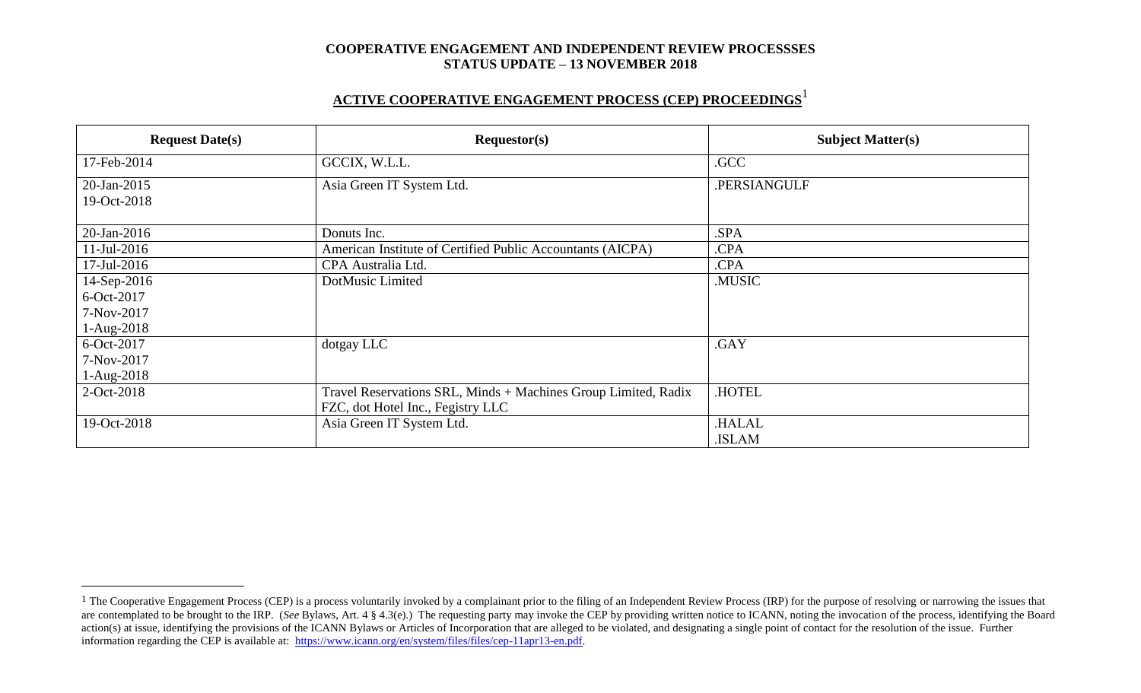# **ACTIVE COOPERATIVE ENGAGEMENT PROCESS (CEP) PROCEEDINGS** 1

| <b>Request Date(s)</b> | Requestor(s)                                                   | <b>Subject Matter(s)</b> |  |
|------------------------|----------------------------------------------------------------|--------------------------|--|
| 17-Feb-2014            | GCCIX, W.L.L.                                                  | .GCC                     |  |
| 20-Jan-2015            | Asia Green IT System Ltd.                                      | .PERSIANGULF             |  |
| 19-Oct-2018            |                                                                |                          |  |
| 20-Jan-2016            | Donuts Inc.                                                    | .SPA                     |  |
| $11$ -Jul-2016         | American Institute of Certified Public Accountants (AICPA)     | .CPA                     |  |
| $17$ -Jul-2016         | CPA Australia Ltd.                                             | .CPA                     |  |
| 14-Sep-2016            | DotMusic Limited                                               | .MUSIC                   |  |
| 6-Oct-2017             |                                                                |                          |  |
| 7-Nov-2017             |                                                                |                          |  |
| 1-Aug-2018             |                                                                |                          |  |
| 6-Oct-2017             | dotgay LLC                                                     | .GAY                     |  |
| 7-Nov-2017             |                                                                |                          |  |
| 1-Aug-2018             |                                                                |                          |  |
| 2-Oct-2018             | Travel Reservations SRL, Minds + Machines Group Limited, Radix | .HOTEL                   |  |
|                        | FZC, dot Hotel Inc., Fegistry LLC                              |                          |  |
| 19-Oct-2018            | Asia Green IT System Ltd.                                      | <b>HALAL</b>             |  |
|                        |                                                                | .ISLAM                   |  |

 $\overline{a}$ 

<sup>&</sup>lt;sup>1</sup> The Cooperative Engagement Process (CEP) is a process voluntarily invoked by a complainant prior to the filing of an Independent Review Process (IRP) for the purpose of resolving or narrowing the issues that are contemplated to be brought to the IRP. (*See* Bylaws, Art. 4 § 4.3(e).) The requesting party may invoke the CEP by providing written notice to ICANN, noting the invocation of the process, identifying the Board action(s) at issue, identifying the provisions of the ICANN Bylaws or Articles of Incorporation that are alleged to be violated, and designating a single point of contact for the resolution of the issue. Further information regarding the CEP is available at: [https://www.icann.org/en/system/files/files/cep-11apr13-en.pdf.](https://www.icann.org/en/system/files/files/cep-11apr13-en.pdf)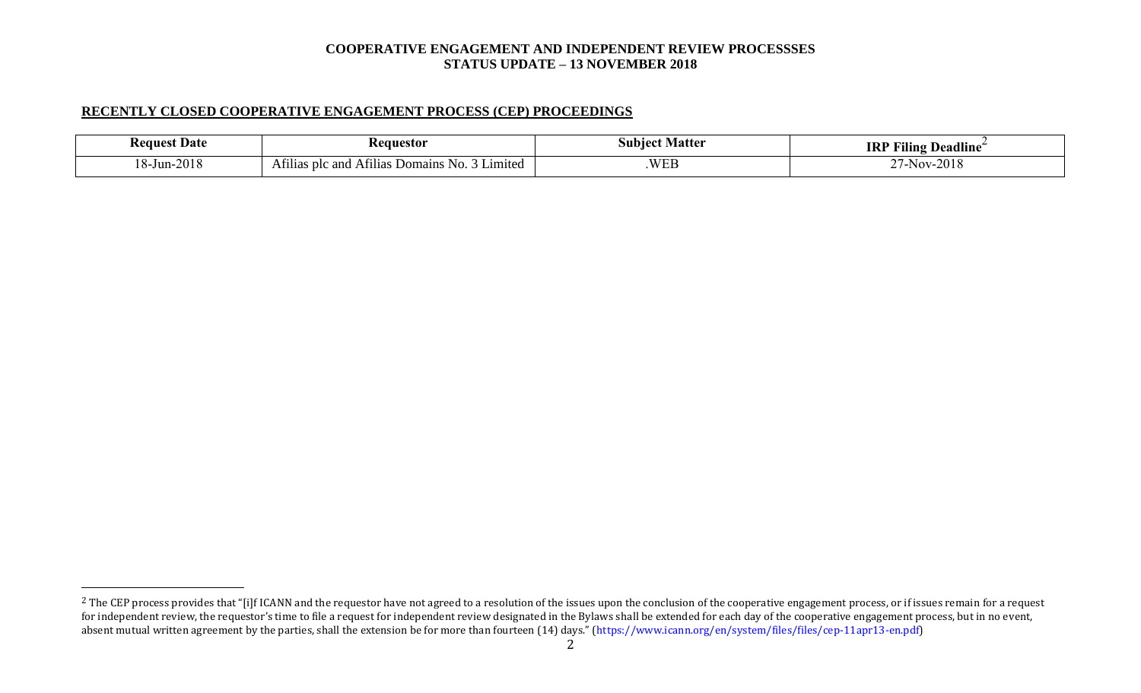## **RECENTLY CLOSED COOPERATIVE ENGAGEMENT PROCESS (CEP) PROCEEDINGS**

 $\overline{a}$ 

| . Date<br>eane | equestor                                                                           | Matter<br>subiec     | $\cdots$<br>$\mathbf{r}$<br><b>IRP</b><br>$\blacksquare$<br>Deadline<br>Filing |
|----------------|------------------------------------------------------------------------------------|----------------------|--------------------------------------------------------------------------------|
| 2018<br>8-Jun- | $\sim$<br>$  -$<br>Limited<br>Domain <sup>e</sup><br>and<br>Afilias plc<br>AT11128 | $W\Gamma$<br>$VV$ LL | ില<br>$N\Lambda$<br>201c<br>,,,,                                               |

<sup>&</sup>lt;sup>2</sup> The CEP process provides that "[i]f ICANN and the requestor have not agreed to a resolution of the issues upon the conclusion of the cooperative engagement process, or if issues remain for a request for independent review, the requestor's time to file a request for independent review designated in the Bylaws shall be extended for each day of the cooperative engagement process, but in no event, absent mutual written agreement by the parties, shall the extension be for more than fourteen (14) days." (https://www.icann.org/en/system/files/files/cep-11apr13-en.pdf)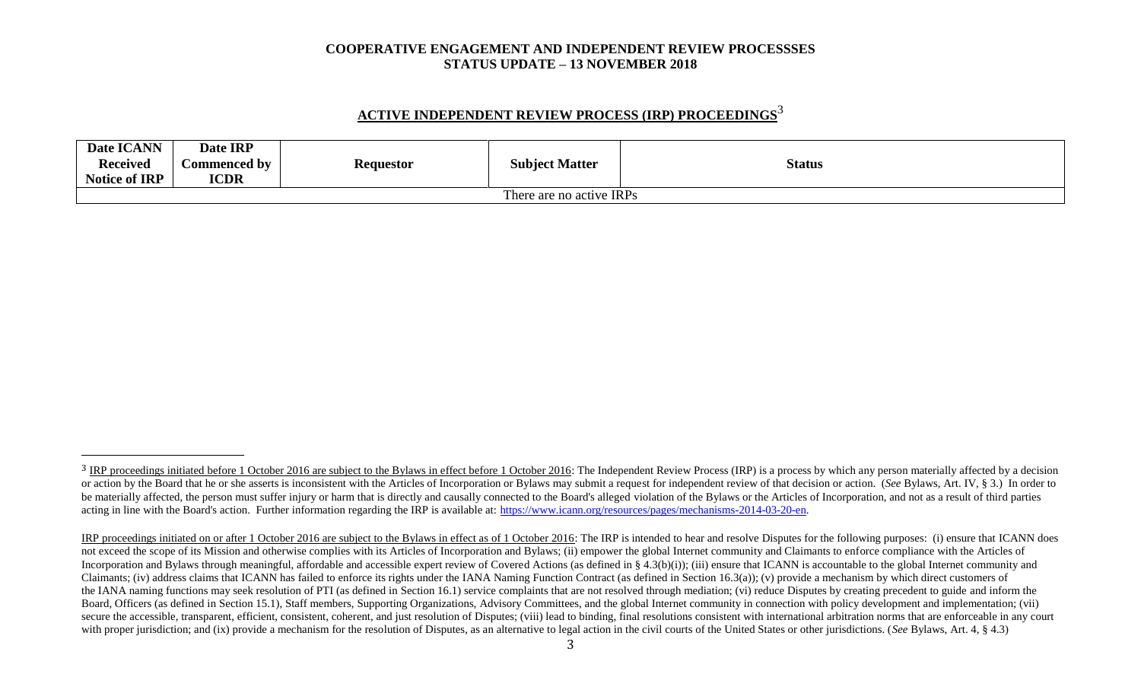# **ACTIVE INDEPENDENT REVIEW PROCESS (IRP) PROCEEDINGS** 3

| Date ICANN<br><b>Received</b><br><b>Notice of IRP</b> | Date IRP<br>Commenced by<br><b>ICDR</b> | Requestor | <b>Subject Matter</b> | <b>Status</b> |  |
|-------------------------------------------------------|-----------------------------------------|-----------|-----------------------|---------------|--|
| There are no active IRPs                              |                                         |           |                       |               |  |

l

<sup>&</sup>lt;sup>3</sup> IRP proceedings initiated before 1 October 2016 are subject to the Bylaws in effect before 1 October 2016: The Independent Review Process (IRP) is a process by which any person materially affected by a decision or action by the Board that he or she asserts is inconsistent with the Articles of Incorporation or Bylaws may submit a request for independent review of that decision or action. (See Bylaws, Art. IV, § 3.) In order to be materially affected, the person must suffer injury or harm that is directly and causally connected to the Board's alleged violation of the Bylaws or the Articles of Incorporation, and not as a result of third parties acting in line with the Board's action. Further information regarding the IRP is available at: [https://www.icann.org/resources/pages/mechanisms-2014-03-20-en.](https://www.icann.org/resources/pages/mechanisms-2014-03-20-en)

IRP proceedings initiated on or after 1 October 2016 are subject to the Bylaws in effect as of 1 October 2016: The IRP is intended to hear and resolve Disputes for the following purposes: (i) ensure that ICANN does not exceed the scope of its Mission and otherwise complies with its Articles of Incorporation and Bylaws; (ii) empower the global Internet community and Claimants to enforce compliance with the Articles of Incorporation and Bylaws through meaningful, affordable and accessible expert review of Covered Actions (as defined in § 4.3(b)(i)); (iii) ensure that ICANN is accountable to the global Internet community and Claimants; (iv) address claims that ICANN has failed to enforce its rights under the IANA Naming Function Contract (as defined in Section 16.3(a)); (v) provide a mechanism by which direct customers of the IANA naming functions may seek resolution of PTI (as defined in Section 16.1) service complaints that are not resolved through mediation; (vi) reduce Disputes by creating precedent to guide and inform the Board, Officers (as defined in Section 15.1), Staff members, Supporting Organizations, Advisory Committees, and the global Internet community in connection with policy development and implementation; (vii) secure the accessible, transparent, efficient, consistent, coherent, and just resolution of Disputes; (viii) lead to binding, final resolutions consistent with international arbitration norms that are enforceable in any co with proper jurisdiction; and (ix) provide a mechanism for the resolution of Disputes, as an alternative to legal action in the civil courts of the United States or other jurisdictions. (*See* Bylaws, Art. 4, § 4.3)